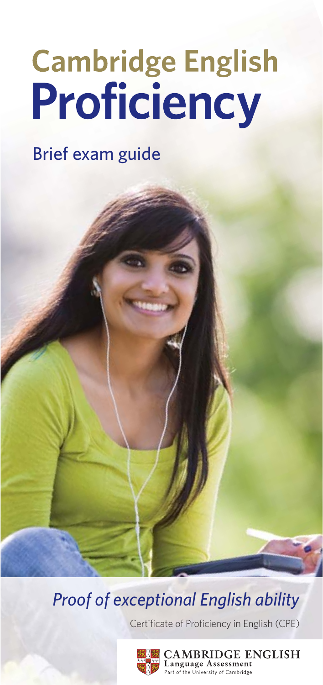# **Cambridge English<br>Proficiency**

# **Brief exam guide**

**Proof of exceptional English ability** 

Certificate of Proficiency in English (CPE)



**AMBRIDGE ENGLISH** nguage Assessment of the University of Cambridge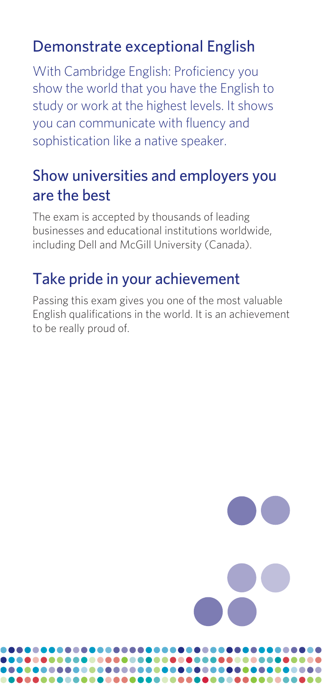### Demonstrate exceptional English

With Cambridge English: Proficiency you show the world that you have the English to study or work at the highest levels. It shows you can communicate with fluency and sophistication like a native speaker.

#### Show universities and employers you are the best

The exam is accepted by thousands of leading businesses and educational institutions worldwide, including Dell and McGill University (Canada).

#### Take pride in your achievement

................................... 

.....................

................

Passing this exam gives you one of the most valuable English qualifications in the world. It is an achievement to be really proud of.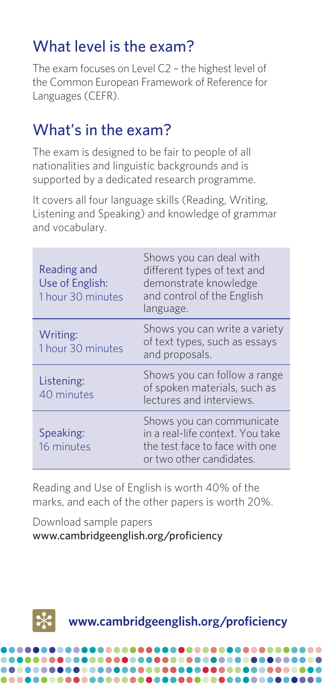#### What level is the exam?

The exam focuses on Level C2 – the highest level of the Common European Framework of Reference for Languages (CEFR).

#### What's in the exam?

The exam is designed to be fair to people of all nationalities and linguistic backgrounds and is supported by a dedicated research programme.

It covers all four language skills (Reading, Writing, Listening and Speaking) and knowledge of grammar and vocabulary.

| Reading and<br>Use of English:<br>1 hour 30 minutes | Shows you can deal with<br>different types of text and<br>demonstrate knowledge<br>and control of the English<br>language.  |
|-----------------------------------------------------|-----------------------------------------------------------------------------------------------------------------------------|
| Writing:<br>1 hour 30 minutes                       | Shows you can write a variety<br>of text types, such as essays<br>and proposals.                                            |
| Listening:<br>40 minutes                            | Shows you can follow a range<br>of spoken materials, such as<br>lectures and interviews.                                    |
| Speaking:<br>16 minutes                             | Shows you can communicate<br>in a real-life context. You take<br>the test face to face with one<br>or two other candidates. |

Reading and Use of English is worth 40% of the marks, and each of the other papers is worth 20%.

Download sample papers www.cambridgeenglish.org/proficiency

.............



**www.cambridgeenglish.org/proficiency**

...................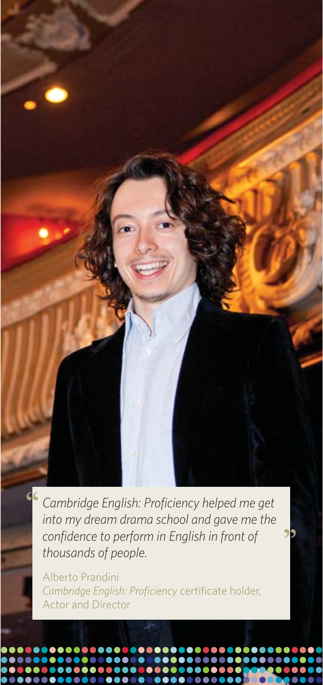Cambridge English: Proficiency helped me get into my dream drama school and gave me the confidence to perform in English in front of thousands of people.

Alberto Prandini Cambridge English: Proficiency certificate holder, Actor and Director

....

.........

 $\bullet$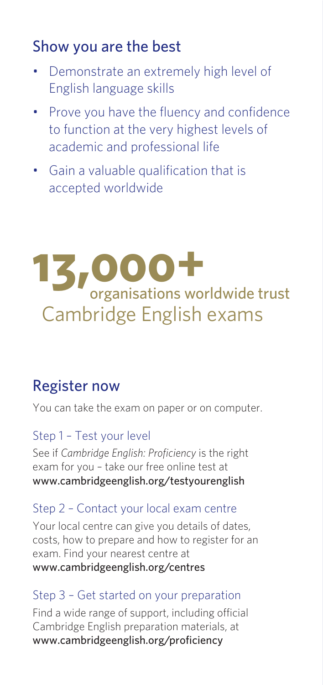### Show you are the best

- Demonstrate an extremely high level of English language skills
- **Prove you have the fluency and confidence** to function at the very highest levels of academic and professional life
- Gain a valuable qualification that is accepted worldwide

# **13,000+** organisations worldwide trust Cambridge English exams

#### Register now

You can take the exam on paper or on computer.

#### Step 1 – Test your level

See if *Cambridge English: Proficiency* is the right exam for you – take our free online test at www.cambridgeenglish.org/testyourenglish

#### Step 2 – Contact your local exam centre

Your local centre can give you details of dates, costs, how to prepare and how to register for an exam. Find your nearest centre at www.cambridgeenglish.org/centres

#### Step 3 – Get started on your preparation

Find a wide range of support, including official Cambridge English preparation materials, at www.cambridgeenglish.org/proficiency